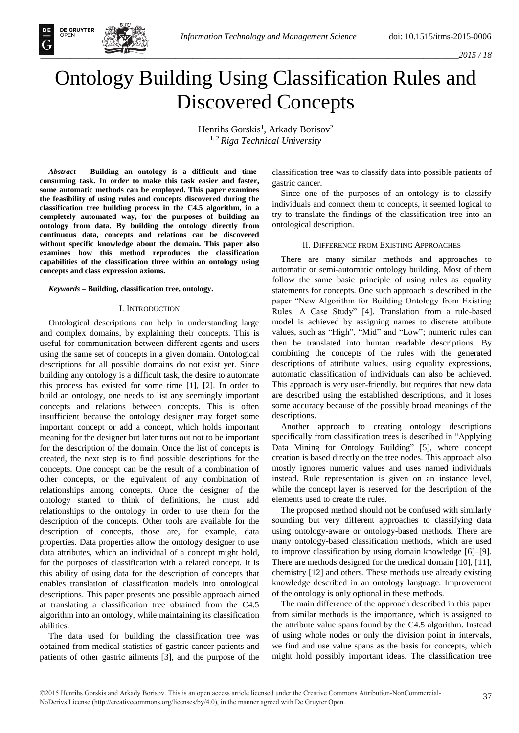

# Ontology Building Using Classification Rules and Discovered Concepts

Henrihs Gorskis<sup>1</sup>, Arkady Borisov<sup>2</sup> 1, 2 *Riga Technical University*

*Abstract –* **Building an ontology is a difficult and timeconsuming task. In order to make this task easier and faster, some automatic methods can be employed. This paper examines the feasibility of using rules and concepts discovered during the classification tree building process in the C4.5 algorithm, in a completely automated way, for the purposes of building an ontology from data. By building the ontology directly from continuous data, concepts and relations can be discovered without specific knowledge about the domain. This paper also examines how this method reproduces the classification capabilities of the classification three within an ontology using concepts and class expression axioms.** 

# *Keywords* **– Building, classification tree, ontology.**

# I. INTRODUCTION

Ontological descriptions can help in understanding large and complex domains, by explaining their concepts. This is useful for communication between different agents and users using the same set of concepts in a given domain. Ontological descriptions for all possible domains do not exist yet. Since building any ontology is a difficult task, the desire to automate this process has existed for some time [1], [2]. In order to build an ontology, one needs to list any seemingly important concepts and relations between concepts. This is often insufficient because the ontology designer may forget some important concept or add a concept, which holds important meaning for the designer but later turns out not to be important for the description of the domain. Once the list of concepts is created, the next step is to find possible descriptions for the concepts. One concept can be the result of a combination of other concepts, or the equivalent of any combination of relationships among concepts. Once the designer of the ontology started to think of definitions, he must add relationships to the ontology in order to use them for the description of the concepts. Other tools are available for the description of concepts, those are, for example, data properties. Data properties allow the ontology designer to use data attributes, which an individual of a concept might hold, for the purposes of classification with a related concept. It is this ability of using data for the description of concepts that enables translation of classification models into ontological descriptions. This paper presents one possible approach aimed at translating a classification tree obtained from the C4.5 algorithm into an ontology, while maintaining its classification abilities.

The data used for building the classification tree was obtained from medical statistics of gastric cancer patients and patients of other gastric ailments [3], and the purpose of the classification tree was to classify data into possible patients of gastric cancer.

Since one of the purposes of an ontology is to classify individuals and connect them to concepts, it seemed logical to try to translate the findings of the classification tree into an ontological description.

# II. DIFFERENCE FROM EXISTING APPROACHES

There are many similar methods and approaches to automatic or semi-automatic ontology building. Most of them follow the same basic principle of using rules as equality statements for concepts. One such approach is described in the paper "New Algorithm for Building Ontology from Existing Rules: A Case Study" [4]. Translation from a rule-based model is achieved by assigning names to discrete attribute values, such as "High", "Mid" and "Low"; numeric rules can then be translated into human readable descriptions. By combining the concepts of the rules with the generated descriptions of attribute values, using equality expressions, automatic classification of individuals can also be achieved. This approach is very user-friendly, but requires that new data are described using the established descriptions, and it loses some accuracy because of the possibly broad meanings of the descriptions.

Another approach to creating ontology descriptions specifically from classification trees is described in "Applying Data Mining for Ontology Building" [5], where concept creation is based directly on the tree nodes. This approach also mostly ignores numeric values and uses named individuals instead. Rule representation is given on an instance level, while the concept layer is reserved for the description of the elements used to create the rules.

The proposed method should not be confused with similarly sounding but very different approaches to classifying data using ontology-aware or ontology-based methods. There are many ontology-based classification methods, which are used to improve classification by using domain knowledge [6]–[9]. There are methods designed for the medical domain [10], [11], chemistry [12] and others. These methods use already existing knowledge described in an ontology language. Improvement of the ontology is only optional in these methods.

The main difference of the approach described in this paper from similar methods is the importance, which is assigned to the attribute value spans found by the C4.5 algorithm. Instead of using whole nodes or only the division point in intervals, we find and use value spans as the basis for concepts, which might hold possibly important ideas. The classification tree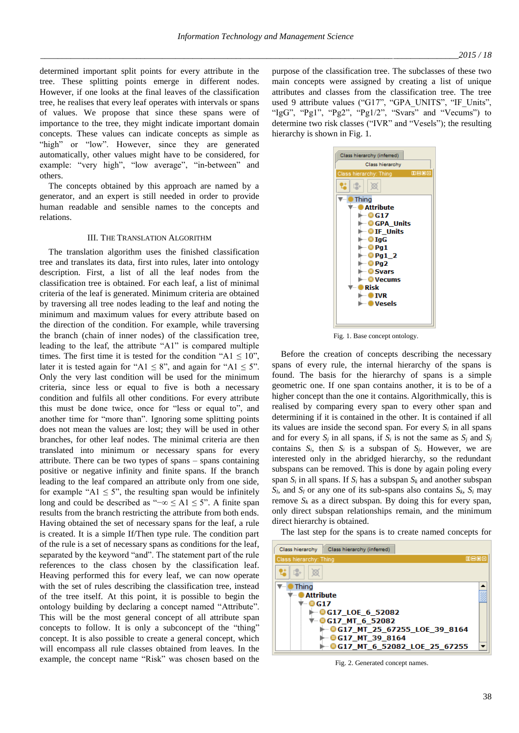determined important split points for every attribute in the tree. These splitting points emerge in different nodes. However, if one looks at the final leaves of the classification tree, he realises that every leaf operates with intervals or spans of values. We propose that since these spans were of importance to the tree, they might indicate important domain concepts. These values can indicate concepts as simple as "high" or "low". However, since they are generated automatically, other values might have to be considered, for example: "very high", "low average", "in-between" and others.

The concepts obtained by this approach are named by a generator, and an expert is still needed in order to provide human readable and sensible names to the concepts and relations.

## III. THE TRANSLATION ALGORITHM

The translation algorithm uses the finished classification tree and translates its data, first into rules, later into ontology description. First, a list of all the leaf nodes from the classification tree is obtained. For each leaf, a list of minimal criteria of the leaf is generated. Minimum criteria are obtained by traversing all tree nodes leading to the leaf and noting the minimum and maximum values for every attribute based on the direction of the condition. For example, while traversing the branch (chain of inner nodes) of the classification tree, leading to the leaf, the attribute "A1" is compared multiple times. The first time it is tested for the condition "A1  $\leq$  10", later it is tested again for "A1  $\leq$  8", and again for "A1  $\leq$  5". Only the very last condition will be used for the minimum criteria, since less or equal to five is both a necessary condition and fulfils all other conditions. For every attribute this must be done twice, once for "less or equal to", and another time for "more than". Ignoring some splitting points does not mean the values are lost; they will be used in other branches, for other leaf nodes. The minimal criteria are then translated into minimum or necessary spans for every attribute. There can be two types of spans – spans containing positive or negative infinity and finite spans. If the branch leading to the leaf compared an attribute only from one side, for example "A1  $\leq$  5", the resulting span would be infinitely long and could be described as " $-\infty \le A1 \le 5$ ". A finite span results from the branch restricting the attribute from both ends. Having obtained the set of necessary spans for the leaf, a rule is created. It is a simple If/Then type rule. The condition part of the rule is a set of necessary spans as conditions for the leaf, separated by the keyword "and". The statement part of the rule references to the class chosen by the classification leaf. Heaving performed this for every leaf, we can now operate with the set of rules describing the classification tree, instead of the tree itself. At this point, it is possible to begin the ontology building by declaring a concept named "Attribute". This will be the most general concept of all attribute span concepts to follow. It is only a subconcept of the "thing" concept. It is also possible to create a general concept, which will encompass all rule classes obtained from leaves. In the example, the concept name "Risk" was chosen based on the

purpose of the classification tree. The subclasses of these two main concepts were assigned by creating a list of unique attributes and classes from the classification tree. The tree used 9 attribute values ("G17", "GPA\_UNITS", "IF\_Units", "IgG", "Pg1", "Pg2", "Pg1/2", "Svars" and "Vecums") to determine two risk classes ("IVR" and "Vesels"); the resulting hierarchy is shown in Fig. 1.



Fig. 1. Base concept ontology.

Before the creation of concepts describing the necessary spans of every rule, the internal hierarchy of the spans is found. The basis for the hierarchy of spans is a simple geometric one. If one span contains another, it is to be of a higher concept than the one it contains. Algorithmically, this is realised by comparing every span to every other span and determining if it is contained in the other. It is contained if all its values are inside the second span. For every  $S_i$  in all spans and for every  $S_i$  in all spans, if  $S_i$  is not the same as  $S_i$  and  $S_j$ contains  $S_i$ , then  $S_i$  is a subspan of  $S_j$ . However, we are interested only in the abridged hierarchy, so the redundant subspans can be removed. This is done by again poling every span  $S_i$  in all spans. If  $S_i$  has a subspan  $S_k$  and another subspan  $S_l$ , and  $S_l$  or any one of its sub-spans also contains  $S_k$ ,  $S_i$  may remove  $S_k$  as a direct subspan. By doing this for every span, only direct subspan relationships remain, and the minimum direct hierarchy is obtained.

The last step for the spans is to create named concepts for

| Class hierarchy<br>Class hierarchy (inferred) |            |
|-----------------------------------------------|------------|
| Class hierarchy: Thing                        | <b>DBO</b> |
|                                               |            |
| Thing                                         |            |
| <b>Attribute</b>                              |            |
| G17                                           |            |
| ► ● G17 LOE 6 52082                           |            |
| v ⊜G17_MT_6_52082                             |            |
| - ■G17 MT 25 67255 LOE 39 8164                |            |
| <b>- ⊜G17 MT 39 8164</b>                      |            |
| - ●G17 MT 6 52082 LOE 25 67255                |            |

Fig. 2. Generated concept names.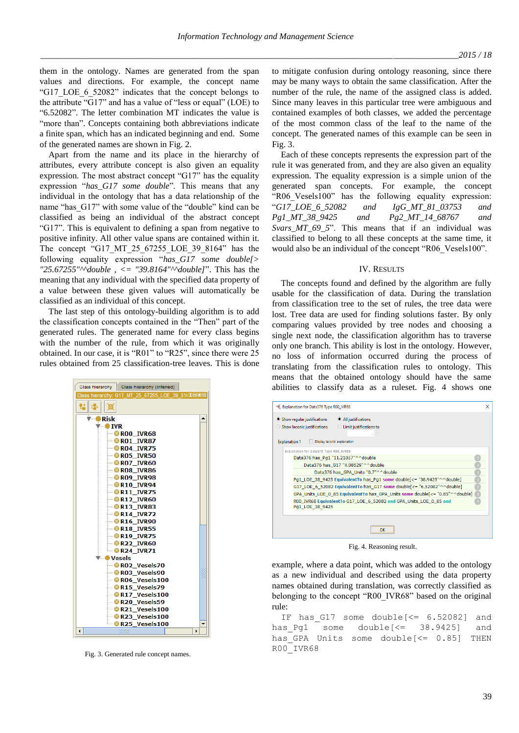them in the ontology. Names are generated from the span values and directions. For example, the concept name "G17\_LOE\_6\_52082" indicates that the concept belongs to the attribute "G17" and has a value of "less or equal" (LOE) to "6.52082". The letter combination MT indicates the value is "more than". Concepts containing both abbreviations indicate a finite span, which has an indicated beginning and end. Some of the generated names are shown in Fig. 2.

Apart from the name and its place in the hierarchy of attributes, every attribute concept is also given an equality expression. The most abstract concept "G17" has the equality expression "*has\_G17 some double*". This means that any individual in the ontology that has a data relationship of the name "has G17" with some value of the "double" kind can be classified as being an individual of the abstract concept "G17". This is equivalent to defining a span from negative to positive infinity. All other value spans are contained within it. The concept "G17\_MT\_25\_67255\_LOE\_39\_8164" has the following equality expression "*has\_G17 some double[> "25.67255"^^double , <= "39.8164"^^double]*". This has the meaning that any individual with the specified data property of a value between these given values will automatically be classified as an individual of this concept.

The last step of this ontology-building algorithm is to add the classification concepts contained in the "Then" part of the generated rules. The generated name for every class begins with the number of the rule, from which it was originally obtained. In our case, it is "R01" to "R25", since there were 25 rules obtained from 25 classification-tree leaves. This is done

| Class hierarchy   Class hierarchy (inferred)                                       |  |
|------------------------------------------------------------------------------------|--|
| Class hierarchy: G17_MT_25_67255_LOE_39_81(Ⅲ日回図)                                   |  |
|                                                                                    |  |
|                                                                                    |  |
| Risk<br>▼……                                                                        |  |
| $\blacksquare$ TVR                                                                 |  |
| $ \blacksquare$ ROO IVR68                                                          |  |
| $\blacksquare$ $\blacksquare$ RO1 _ IVR87                                          |  |
| $\blacksquare$ <b>e</b> RO4 IVR75                                                  |  |
| $\blacksquare$ <b>e</b> RO5 TVR50                                                  |  |
| $\blacksquare$ <b>BROZ</b> TVR60<br>$\blacksquare$ <b>e</b> RO8 TVR86              |  |
| $\blacksquare$ <b>e</b> RO9 IVR98                                                  |  |
| $\blacksquare$ <b>BR10 IVR94</b>                                                   |  |
| $\blacksquare$ $\blacksquare$ R11 IVR75                                            |  |
| $\blacksquare$ er12 IVR60                                                          |  |
| $\blacksquare$ er13 TVR83                                                          |  |
| $ER14$ TVR72                                                                       |  |
| $\blacksquare$ CR16 IVR90                                                          |  |
| $\blacksquare$ <b>QR18</b> IVR55                                                   |  |
| $\blacksquare$ <b>e</b> R <sub>19</sub> IVR75                                      |  |
| $\blacksquare$ R22 IVR60                                                           |  |
| $\blacksquare$ <b>BR24 IVR71</b>                                                   |  |
| <b>Vesels</b>                                                                      |  |
| $\blacksquare$ <b>e</b> RO2 Vesels70<br>$\blacksquare$ $\blacksquare$ RO3 Vesels90 |  |
| $\blacksquare$ $\blacksquare$ RO6 Vesels100                                        |  |
| $ @$ R15 Vesels79                                                                  |  |
| $\blacksquare$ <b>OR17</b> Vesels100                                               |  |
| $ 0$ R20 Vesels59                                                                  |  |
| $ 0$ R21 Vesels100                                                                 |  |
| $\blacksquare$ $\blacksquare$ R23 Vesels100                                        |  |
| $\blacksquare$ $\blacksquare$ R25 Vesels100                                        |  |
| 強震<br>١                                                                            |  |

Fig. 3. Generated rule concept names.

to mitigate confusion during ontology reasoning, since there may be many ways to obtain the same classification. After the number of the rule, the name of the assigned class is added. Since many leaves in this particular tree were ambiguous and contained examples of both classes, we added the percentage of the most common class of the leaf to the name of the concept. The generated names of this example can be seen in Fig. 3.

Each of these concepts represents the expression part of the rule it was generated from, and they are also given an equality expression. The equality expression is a simple union of the generated span concepts. For example, the concept "R06 Vesels100" has the following equality expression: "*G17\_LOE\_6\_52082 and IgG\_MT\_81\_03753 and Pg1\_MT\_38\_9425 and Pg2\_MT\_14\_68767 and Svars\_MT\_69\_5*". This means that if an individual was classified to belong to all these concepts at the same time, it would also be an individual of the concept "R06 Vesels100".

## IV. RESULTS

The concepts found and defined by the algorithm are fully usable for the classification of data. During the translation from classification tree to the set of rules, the tree data were lost. Tree data are used for finding solutions faster. By only comparing values provided by tree nodes and choosing a single next node, the classification algorithm has to traverse only one branch. This ability is lost in the ontology. However, no loss of information occurred during the process of translating from the classification rules to ontology. This means that the obtained ontology should have the same abilities to classify data as a ruleset. Fig. 4 shows one

| Explanation for Data376 Type R00 IVR68                                                               | × |
|------------------------------------------------------------------------------------------------------|---|
| Show regular justifications<br>All justifications                                                    |   |
| $\circlearrowright$ Show laconic justifications $\hspace{0.1mm}$<br><b>C</b> Limit justifications to |   |
| <b>Explanation 1</b><br>Display laconic explanation                                                  |   |
| Explanation for: Data376 Type ROD IVR68                                                              |   |
| Data376 has_Pg1 "11.21057"^^double                                                                   |   |
| Data376 has G17 "4.08629"^^double                                                                    |   |
| Data376 has GPA Units "0.7"^^double                                                                  |   |
| Pq1 LOE 38 9425 Equivalent To has Pq1 some double <= "38.9425" ^ ^ double ]                          |   |
| G17_LOE_6_52082 EquivalentTo has_G17 some double[ $\lt=$ "6.52082"^^double]                          |   |
| GPA_Units_LOE_0_85 EquivalentTo has_GPA_Units some double[<= "0.85"^^double]                         |   |
| R00 IVR68 EquivalentTo G17 LOE 6 52082 and GPA Units LOE 0 85 and<br>Pg1 LOE 38 9425                 |   |
|                                                                                                      |   |
| OK                                                                                                   |   |

Fig. 4. Reasoning result.

example, where a data point, which was added to the ontology as a new individual and described using the data property names obtained during translation, was correctly classified as belonging to the concept "R00\_IVR68" based on the original rule:

IF has G17 some double  $\leq$  6.52082] and has Pg1 some double[<= 38.9425] and has GPA Units some double[<= 0.85] THEN R00\_IVR68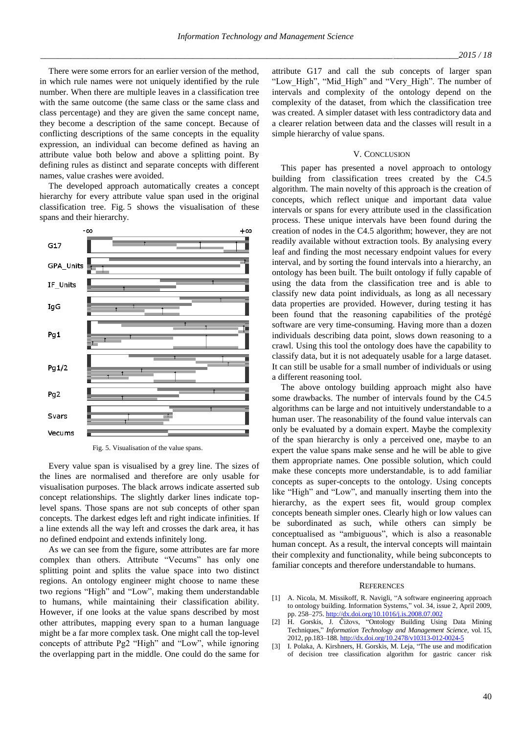There were some errors for an earlier version of the method, in which rule names were not uniquely identified by the rule number. When there are multiple leaves in a classification tree with the same outcome (the same class or the same class and class percentage) and they are given the same concept name, they become a description of the same concept. Because of conflicting descriptions of the same concepts in the equality expression, an individual can become defined as having an attribute value both below and above a splitting point. By defining rules as distinct and separate concepts with different names, value crashes were avoided.

The developed approach automatically creates a concept hierarchy for every attribute value span used in the original classification tree. Fig. 5 shows the visualisation of these spans and their hierarchy.



Fig. 5. Visualisation of the value spans.

Every value span is visualised by a grey line. The sizes of the lines are normalised and therefore are only usable for visualisation purposes. The black arrows indicate asserted sub concept relationships. The slightly darker lines indicate toplevel spans. Those spans are not sub concepts of other span concepts. The darkest edges left and right indicate infinities. If a line extends all the way left and crosses the dark area, it has no defined endpoint and extends infinitely long.

As we can see from the figure, some attributes are far more complex than others. Attribute "Vecums" has only one splitting point and splits the value space into two distinct regions. An ontology engineer might choose to name these two regions "High" and "Low", making them understandable to humans, while maintaining their classification ability. However, if one looks at the value spans described by most other attributes, mapping every span to a human language might be a far more complex task. One might call the top-level concepts of attribute Pg2 "High" and "Low", while ignoring the overlapping part in the middle. One could do the same for

attribute G17 and call the sub concepts of larger span "Low\_High", "Mid\_High" and "Very\_High". The number of intervals and complexity of the ontology depend on the complexity of the dataset, from which the classification tree was created. A simpler dataset with less contradictory data and a clearer relation between data and the classes will result in a simple hierarchy of value spans.

### V. CONCLUSION

This paper has presented a novel approach to ontology building from classification trees created by the C4.5 algorithm. The main novelty of this approach is the creation of concepts, which reflect unique and important data value intervals or spans for every attribute used in the classification process. These unique intervals have been found during the creation of nodes in the C4.5 algorithm; however, they are not readily available without extraction tools. By analysing every leaf and finding the most necessary endpoint values for every interval, and by sorting the found intervals into a hierarchy, an ontology has been built. The built ontology if fully capable of using the data from the classification tree and is able to classify new data point individuals, as long as all necessary data properties are provided. However, during testing it has been found that the reasoning capabilities of the protégé software are very time-consuming. Having more than a dozen individuals describing data point, slows down reasoning to a crawl. Using this tool the ontology does have the capability to classify data, but it is not adequately usable for a large dataset. It can still be usable for a small number of individuals or using a different reasoning tool.

The above ontology building approach might also have some drawbacks. The number of intervals found by the C4.5 algorithms can be large and not intuitively understandable to a human user. The reasonability of the found value intervals can only be evaluated by a domain expert. Maybe the complexity of the span hierarchy is only a perceived one, maybe to an expert the value spans make sense and he will be able to give them appropriate names. One possible solution, which could make these concepts more understandable, is to add familiar concepts as super-concepts to the ontology. Using concepts like "High" and "Low", and manually inserting them into the hierarchy, as the expert sees fit, would group complex concepts beneath simpler ones. Clearly high or low values can be subordinated as such, while others can simply be conceptualised as "ambiguous", which is also a reasonable human concept. As a result, the interval concepts will maintain their complexity and functionality, while being subconcepts to familiar concepts and therefore understandable to humans.

### **REFERENCES**

- [1] A. Nicola, M. Missikoff, R. Navigli, "A software engineering approach to ontology building. Information Systems," vol. 34, issue 2, April 2009, pp. 258–275. <http://dx.doi.org/10.1016/j.is.2008.07.002>
- [2] H. Gorskis, J. Čižovs, "Ontology Building Using Data Mining Techniques," *Information Technology and Management Science,* vol. 15, 2012, pp.183–188. <http://dx.doi.org/10.2478/v10313-012-0024-5>
- [3] I. Polaka, A. Kirshners, H. Gorskis, M. Leja, "The use and modification of decision tree classification algorithm for gastric cancer risk